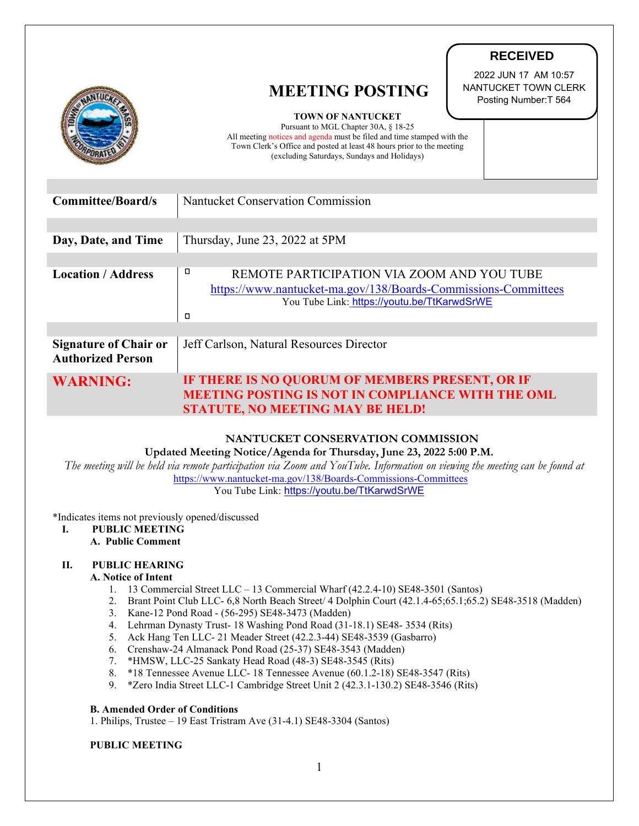|                                                          |                                                                                                                                                                                                                                                                                              | <b>RECEIVED</b>                                                       |
|----------------------------------------------------------|----------------------------------------------------------------------------------------------------------------------------------------------------------------------------------------------------------------------------------------------------------------------------------------------|-----------------------------------------------------------------------|
|                                                          | <b>MEETING POSTING</b><br><b>TOWN OF NANTUCKET</b><br>Pursuant to MGL Chapter 30A, § 18-25<br>All meeting notices and agenda must be filed and time stamped with the<br>Town Clerk's Office and posted at least 48 hours prior to the meeting<br>(excluding Saturdays, Sundays and Holidays) | 2022 JUN 17 AM 10:57<br>NANTUCKET TOWN CLERK<br>Posting Number: T 564 |
|                                                          |                                                                                                                                                                                                                                                                                              |                                                                       |
| <b>Committee/Board/s</b>                                 | Nantucket Conservation Commission                                                                                                                                                                                                                                                            |                                                                       |
|                                                          |                                                                                                                                                                                                                                                                                              |                                                                       |
| Day, Date, and Time                                      | Thursday, June 23, 2022 at 5PM                                                                                                                                                                                                                                                               |                                                                       |
|                                                          |                                                                                                                                                                                                                                                                                              |                                                                       |
| <b>Location / Address</b>                                | о<br>REMOTE PARTICIPATION VIA ZOOM AND YOU TUBE                                                                                                                                                                                                                                              |                                                                       |
|                                                          | https://www.nantucket-ma.gov/138/Boards-Commissions-Committees<br>You Tube Link: https://youtu.be/TtKarwdSrWE                                                                                                                                                                                |                                                                       |
|                                                          | ο                                                                                                                                                                                                                                                                                            |                                                                       |
|                                                          |                                                                                                                                                                                                                                                                                              |                                                                       |
| <b>Signature of Chair or</b><br><b>Authorized Person</b> | Jeff Carlson, Natural Resources Director                                                                                                                                                                                                                                                     |                                                                       |
| <b>WARNING:</b>                                          | IF THERE IS NO QUORUM OF MEMBERS PRESENT, OR IF                                                                                                                                                                                                                                              |                                                                       |
|                                                          | <b>MEETING POSTING IS NOT IN COMPLIANCE WITH THE OML</b>                                                                                                                                                                                                                                     |                                                                       |
|                                                          | <b>STATUTE, NO MEETING MAY BE HELD!</b>                                                                                                                                                                                                                                                      |                                                                       |

## **NANTUCKET CONSERVATION COMMISSION**

**Updated Meeting Notice/Agenda for Thursday, June 23, 2022 5:00 P.M.**

 *The meeting will be held via remote participation via Zoom and YouTube. Information on viewing the meeting can be found at* <https://www.nantucket-ma.gov/138/Boards-Commissions-Committees> You Tube Link: <https://youtu.be/TtKarwdSrWE>

#### \*Indicates items not previously opened/discussed

# **I. PUBLIC MEETING**

# **A. Public Comment**

## **II. PUBLIC HEARING**

#### **A. Notice of Intent**

- 1. 13 Commercial Street LLC 13 Commercial Wharf (42.2.4-10) SE48-3501 (Santos)
- 2. Brant Point Club LLC- 6,8 North Beach Street/ 4 Dolphin Court (42.1.4-65;65.1;65.2) SE48-3518 (Madden)
- 3. Kane-12 Pond Road (56-295) SE48-3473 (Madden)
- 4. Lehrman Dynasty Trust- 18 Washing Pond Road (31-18.1) SE48- 3534 (Rits)
- 5. Ack Hang Ten LLC- 21 Meader Street (42.2.3-44) SE48-3539 (Gasbarro)
- 6. Crenshaw-24 Almanack Pond Road (25-37) SE48-3543 (Madden)
- 7. \*HMSW, LLC-25 Sankaty Head Road (48-3) SE48-3545 (Rits)
- 8. \*18 Tennessee Avenue LLC- 18 Tennessee Avenue (60.1.2-18) SE48-3547 (Rits)
- 9. \*Zero India Street LLC-1 Cambridge Street Unit 2 (42.3.1-130.2) SE48-3546 (Rits)

#### **B. Amended Order of Conditions**

1. Philips, Trustee – 19 East Tristram Ave (31-4.1) SE48-3304 (Santos)

#### **PUBLIC MEETING**